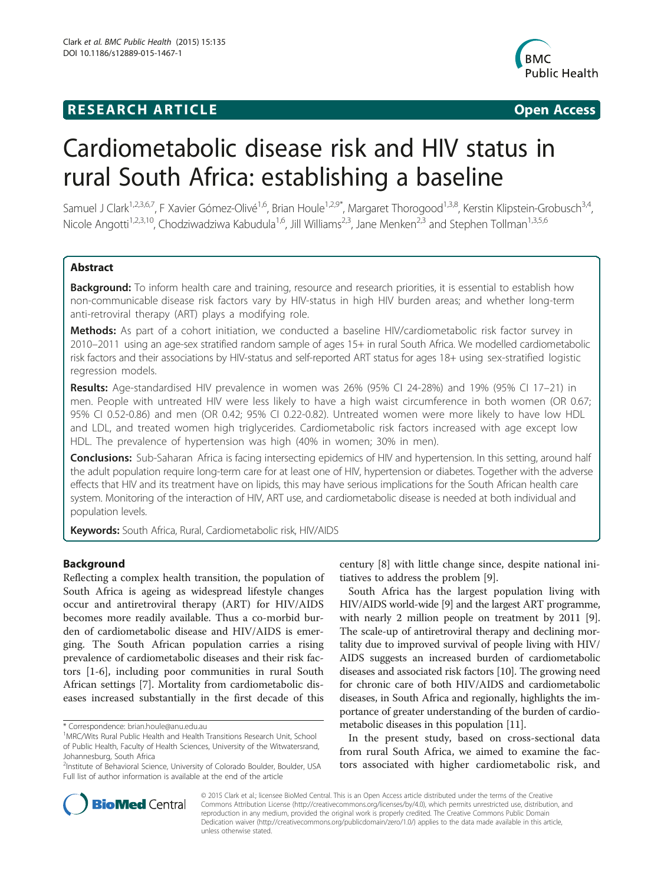# **RESEARCH ARTICLE Example 2018 12:00 Open Access**



# Cardiometabolic disease risk and HIV status in rural South Africa: establishing a baseline

Samuel J Clark<sup>1,2,3,6,7</sup>, F Xavier Gómez-Olivé<sup>1,6</sup>, Brian Houle<sup>1,2,9\*</sup>, Margaret Thorogood<sup>1,3,8</sup>, Kerstin Klipstein-Grobusch<sup>3,4</sup>, Nicole Angotti<sup>1,2,3,10</sup>, Chodziwadziwa Kabudula<sup>1,6</sup>, Jill Williams<sup>2,3</sup>, Jane Menken<sup>2,3</sup> and Stephen Tollman<sup>1,3,5,6</sup>

# Abstract

Background: To inform health care and training, resource and research priorities, it is essential to establish how non-communicable disease risk factors vary by HIV-status in high HIV burden areas; and whether long-term anti-retroviral therapy (ART) plays a modifying role.

Methods: As part of a cohort initiation, we conducted a baseline HIV/cardiometabolic risk factor survey in 2010–2011 using an age-sex stratified random sample of ages 15+ in rural South Africa. We modelled cardiometabolic risk factors and their associations by HIV-status and self-reported ART status for ages 18+ using sex-stratified logistic regression models.

Results: Age-standardised HIV prevalence in women was 26% (95% CI 24-28%) and 19% (95% CI 17–21) in men. People with untreated HIV were less likely to have a high waist circumference in both women (OR 0.67; 95% CI 0.52-0.86) and men (OR 0.42; 95% CI 0.22-0.82). Untreated women were more likely to have low HDL and LDL, and treated women high triglycerides. Cardiometabolic risk factors increased with age except low HDL. The prevalence of hypertension was high (40% in women; 30% in men).

Conclusions: Sub-Saharan Africa is facing intersecting epidemics of HIV and hypertension. In this setting, around half the adult population require long-term care for at least one of HIV, hypertension or diabetes. Together with the adverse effects that HIV and its treatment have on lipids, this may have serious implications for the South African health care system. Monitoring of the interaction of HIV, ART use, and cardiometabolic disease is needed at both individual and population levels.

Keywords: South Africa, Rural, Cardiometabolic risk, HIV/AIDS

# Background

Reflecting a complex health transition, the population of South Africa is ageing as widespread lifestyle changes occur and antiretroviral therapy (ART) for HIV/AIDS becomes more readily available. Thus a co-morbid burden of cardiometabolic disease and HIV/AIDS is emerging. The South African population carries a rising prevalence of cardiometabolic diseases and their risk factors [[1](#page-7-0)-[6\]](#page-7-0), including poor communities in rural South African settings [[7\]](#page-7-0). Mortality from cardiometabolic diseases increased substantially in the first decade of this



South Africa has the largest population living with HIV/AIDS world-wide [\[9\]](#page-7-0) and the largest ART programme, with nearly 2 million people on treatment by 2011 [[9](#page-7-0)]. The scale-up of antiretroviral therapy and declining mortality due to improved survival of people living with HIV/ AIDS suggests an increased burden of cardiometabolic diseases and associated risk factors [[10](#page-7-0)]. The growing need for chronic care of both HIV/AIDS and cardiometabolic diseases, in South Africa and regionally, highlights the importance of greater understanding of the burden of cardiometabolic diseases in this population [\[11\]](#page-7-0).

In the present study, based on cross-sectional data from rural South Africa, we aimed to examine the factors associated with higher cardiometabolic risk, and



© 2015 Clark et al.; licensee BioMed Central. This is an Open Access article distributed under the terms of the Creative Commons Attribution License [\(http://creativecommons.org/licenses/by/4.0\)](http://creativecommons.org/licenses/by/4.0), which permits unrestricted use, distribution, and reproduction in any medium, provided the original work is properly credited. The Creative Commons Public Domain Dedication waiver [\(http://creativecommons.org/publicdomain/zero/1.0/](http://creativecommons.org/publicdomain/zero/1.0/)) applies to the data made available in this article, unless otherwise stated.

<sup>\*</sup> Correspondence: [brian.houle@anu.edu.au](mailto:brian.houle@anu.edu.au) <sup>1</sup>

<sup>&</sup>lt;sup>1</sup> MRC/Wits Rural Public Health and Health Transitions Research Unit, School of Public Health, Faculty of Health Sciences, University of the Witwatersrand, Johannesburg, South Africa

<sup>2</sup> Institute of Behavioral Science, University of Colorado Boulder, Boulder, USA Full list of author information is available at the end of the article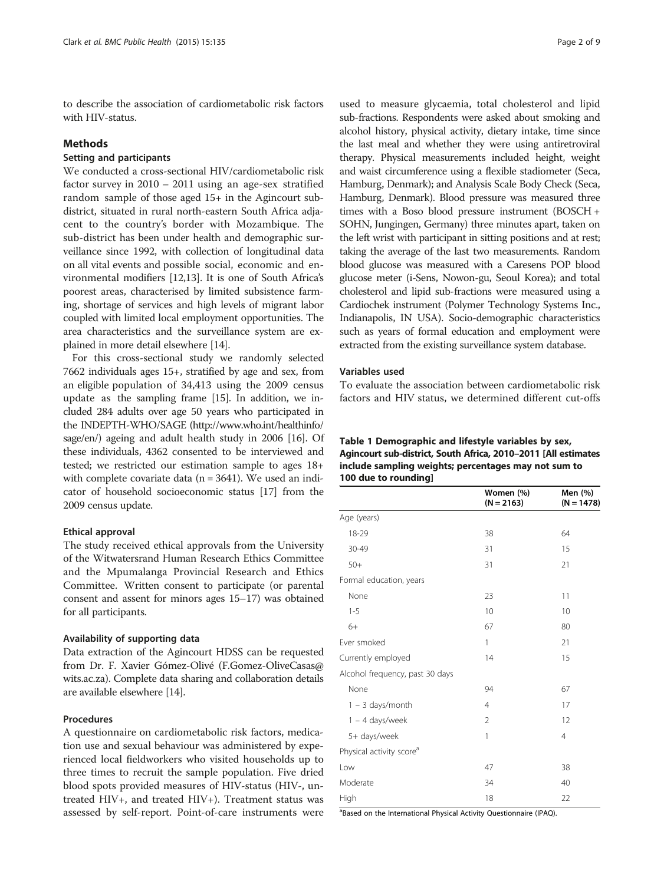<span id="page-1-0"></span>to describe the association of cardiometabolic risk factors with HIV-status.

#### Methods

# Setting and participants

We conducted a cross-sectional HIV/cardiometabolic risk factor survey in 2010 – 2011 using an age-sex stratified random sample of those aged 15+ in the Agincourt subdistrict, situated in rural north-eastern South Africa adjacent to the country's border with Mozambique. The sub-district has been under health and demographic surveillance since 1992, with collection of longitudinal data on all vital events and possible social, economic and environmental modifiers [\[12,13](#page-7-0)]. It is one of South Africa's poorest areas, characterised by limited subsistence farming, shortage of services and high levels of migrant labor coupled with limited local employment opportunities. The area characteristics and the surveillance system are explained in more detail elsewhere [[14](#page-7-0)].

For this cross-sectional study we randomly selected 7662 individuals ages 15+, stratified by age and sex, from an eligible population of 34,413 using the 2009 census update as the sampling frame [[15](#page-7-0)]. In addition, we included 284 adults over age 50 years who participated in the INDEPTH-WHO/SAGE [\(http://www.who.int/healthinfo/](http://www.who.int/healthinfo/sage/en/) [sage/en/](http://www.who.int/healthinfo/sage/en/)) ageing and adult health study in 2006 [\[16\]](#page-7-0). Of these individuals, 4362 consented to be interviewed and tested; we restricted our estimation sample to ages 18+ with complete covariate data ( $n = 3641$ ). We used an indicator of household socioeconomic status [\[17\]](#page-7-0) from the 2009 census update.

#### Ethical approval

The study received ethical approvals from the University of the Witwatersrand Human Research Ethics Committee and the Mpumalanga Provincial Research and Ethics Committee. Written consent to participate (or parental consent and assent for minors ages 15–17) was obtained for all participants.

#### Availability of supporting data

Data extraction of the Agincourt HDSS can be requested from Dr. F. Xavier Gómez-Olivé (F.Gomez-OliveCasas@ wits.ac.za). Complete data sharing and collaboration details are available elsewhere [[14](#page-7-0)].

## Procedures

A questionnaire on cardiometabolic risk factors, medication use and sexual behaviour was administered by experienced local fieldworkers who visited households up to three times to recruit the sample population. Five dried blood spots provided measures of HIV-status (HIV-, untreated HIV+, and treated HIV+). Treatment status was assessed by self-report. Point-of-care instruments were

used to measure glycaemia, total cholesterol and lipid sub-fractions. Respondents were asked about smoking and alcohol history, physical activity, dietary intake, time since the last meal and whether they were using antiretroviral therapy. Physical measurements included height, weight and waist circumference using a flexible stadiometer (Seca, Hamburg, Denmark); and Analysis Scale Body Check (Seca, Hamburg, Denmark). Blood pressure was measured three times with a Boso blood pressure instrument (BOSCH + SOHN, Jungingen, Germany) three minutes apart, taken on the left wrist with participant in sitting positions and at rest; taking the average of the last two measurements. Random blood glucose was measured with a Caresens POP blood glucose meter (i-Sens, Nowon-gu, Seoul Korea); and total cholesterol and lipid sub-fractions were measured using a Cardiochek instrument (Polymer Technology Systems Inc., Indianapolis, IN USA). Socio-demographic characteristics such as years of formal education and employment were extracted from the existing surveillance system database.

#### Variables used

To evaluate the association between cardiometabolic risk factors and HIV status, we determined different cut-offs

| Table 1 Demographic and lifestyle variables by sex,            |
|----------------------------------------------------------------|
| Agincourt sub-district, South Africa, 2010-2011 [All estimates |
| include sampling weights; percentages may not sum to           |
| 100 due to rounding                                            |

|                                      | Women (%)<br>$(N = 2163)$ | Men (%)<br>$(N = 1478)$ |
|--------------------------------------|---------------------------|-------------------------|
| Age (years)                          |                           |                         |
| 18-29                                | 38                        | 64                      |
| 30-49                                | 31                        | 15                      |
| $50+$                                | 31                        | 21                      |
| Formal education, years              |                           |                         |
| None                                 | 23                        | 11                      |
| $1 - 5$                              | 10                        | 10                      |
| $6+$                                 | 67                        | 80                      |
| Ever smoked                          | 1                         | 21                      |
| Currently employed                   | 14                        | 15                      |
| Alcohol frequency, past 30 days      |                           |                         |
| None                                 | 94                        | 67                      |
| $1 - 3$ days/month                   | 4                         | 17                      |
| $1 - 4$ days/week                    | 2                         | 12                      |
| 5+ days/week                         | 1                         | $\overline{4}$          |
| Physical activity score <sup>a</sup> |                           |                         |
| Low                                  | 47                        | 38                      |
| Moderate                             | 34                        | 40                      |
| High                                 | 18                        | 22                      |

<sup>a</sup>Based on the International Physical Activity Questionnaire (IPAQ).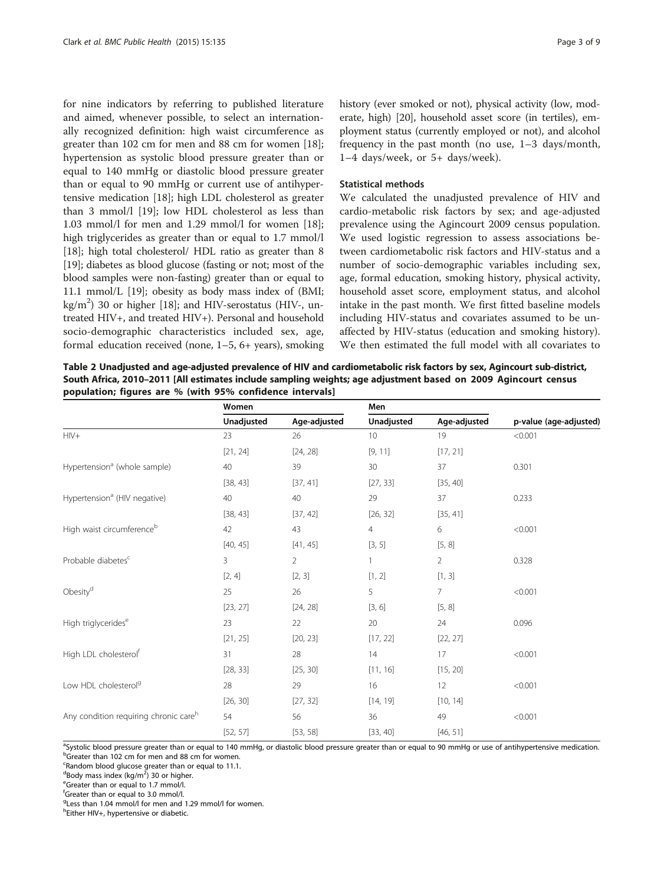<span id="page-2-0"></span>for nine indicators by referring to published literature and aimed, whenever possible, to select an internationally recognized definition: high waist circumference as greater than 102 cm for men and 88 cm for women [\[18](#page-7-0)]; hypertension as systolic blood pressure greater than or equal to 140 mmHg or diastolic blood pressure greater than or equal to 90 mmHg or current use of antihypertensive medication [[18](#page-7-0)]; high LDL cholesterol as greater than 3 mmol/l [\[19\]](#page-7-0); low HDL cholesterol as less than 1.03 mmol/l for men and 1.29 mmol/l for women [\[18](#page-7-0)]; high triglycerides as greater than or equal to 1.7 mmol/l [[18\]](#page-7-0); high total cholesterol/ HDL ratio as greater than 8 [[19](#page-7-0)]; diabetes as blood glucose (fasting or not; most of the blood samples were non-fasting) greater than or equal to 11.1 mmol/L [\[19](#page-7-0)]; obesity as body mass index of (BMI; kg/m2 ) 30 or higher [\[18\]](#page-7-0); and HIV-serostatus (HIV-, untreated HIV+, and treated HIV+). Personal and household socio-demographic characteristics included sex, age, formal education received (none, 1–5, 6+ years), smoking history (ever smoked or not), physical activity (low, moderate, high) [\[20\]](#page-7-0), household asset score (in tertiles), employment status (currently employed or not), and alcohol frequency in the past month (no use, 1–3 days/month, 1–4 days/week, or 5+ days/week).

#### Statistical methods

We calculated the unadjusted prevalence of HIV and cardio-metabolic risk factors by sex; and age-adjusted prevalence using the Agincourt 2009 census population. We used logistic regression to assess associations between cardiometabolic risk factors and HIV-status and a number of socio-demographic variables including sex, age, formal education, smoking history, physical activity, household asset score, employment status, and alcohol intake in the past month. We first fitted baseline models including HIV-status and covariates assumed to be unaffected by HIV-status (education and smoking history). We then estimated the full model with all covariates to

Table 2 Unadjusted and age-adjusted prevalence of HIV and cardiometabolic risk factors by sex, Agincourt sub-district, South Africa, 2010–2011 [All estimates include sampling weights; age adjustment based on 2009 Agincourt census population; figures are % (with 95% confidence intervals]

|                                          | Women      |                | Men             |                |                        |  |
|------------------------------------------|------------|----------------|-----------------|----------------|------------------------|--|
|                                          | Unadjusted | Age-adjusted   | Unadjusted      | Age-adjusted   | p-value (age-adjusted) |  |
| $HIV+$                                   | 23         | 26             | 10 <sup>°</sup> | 19             | < 0.001                |  |
|                                          | [21, 24]   | [24, 28]       | [9, 11]         | [17, 21]       |                        |  |
| Hypertension <sup>a</sup> (whole sample) | 40         | 39             | 30              | 37             | 0.301                  |  |
|                                          | [38, 43]   | [37, 41]       | [27, 33]        | [35, 40]       |                        |  |
| Hypertension <sup>a</sup> (HIV negative) | 40         | 40             | 29              | 37             | 0.233                  |  |
|                                          | [38, 43]   | [37, 42]       | [26, 32]        | [35, 41]       |                        |  |
| High waist circumferenceb                | 42         | 43             | $\overline{4}$  | 6              | < 0.001                |  |
|                                          | [40, 45]   | [41, 45]       | [3, 5]          | [5, 8]         |                        |  |
| Probable diabetes <sup>c</sup>           | 3          | $\overline{2}$ |                 | $\overline{2}$ | 0.328                  |  |
|                                          | [2, 4]     | [2, 3]         | [1, 2]          | [1, 3]         |                        |  |
| Obesity <sup>d</sup>                     | 25         | 26             | 5               | 7              | < 0.001                |  |
|                                          | [23, 27]   | [24, 28]       | [3, 6]          | [5, 8]         |                        |  |
| High triglycerides <sup>e</sup>          | 23         | 22             | 20              | 24             | 0.096                  |  |
|                                          | [21, 25]   | [20, 23]       | [17, 22]        | [22, 27]       |                        |  |
| High LDL cholesterol <sup>f</sup>        | 31         | 28             | 14              | 17             | < 0.001                |  |
|                                          | [28, 33]   | [25, 30]       | [11, 16]        | [15, 20]       |                        |  |
| Low HDL cholesterol <sup>9</sup>         | 28         | 29             | 16              | 12             | < 0.001                |  |
|                                          | [26, 30]   | [27, 32]       | [14, 19]        | [10, 14]       |                        |  |
| Any condition requiring chronic careh    | 54         | 56             | 36              | 49             | < 0.001                |  |
|                                          | [52, 57]   | [53, 58]       | [33, 40]        | [46, 51]       |                        |  |

asystolic blood pressure greater than or equal to 140 mmHg, or diastolic blood pressure greater than or equal to 90 mmHg or use of antihypertensive medication.<br>Pregater than 102 cm for man and 88 cm for women bGreater than 102 cm for men and 88 cm for women.

<sup>c</sup>Random blood glucose greater than or equal to 11.1.

dBody mass index (kg/m<sup>2</sup>) 30 or higher.

<sup>e</sup>Greater than or equal to 1.7 mmol/l.

f Greater than or equal to 3.0 mmol/l.

<sup>g</sup>Less than 1.04 mmol/l for men and 1.29 mmol/l for women.

<sup>h</sup>Either HIV+, hypertensive or diabetic.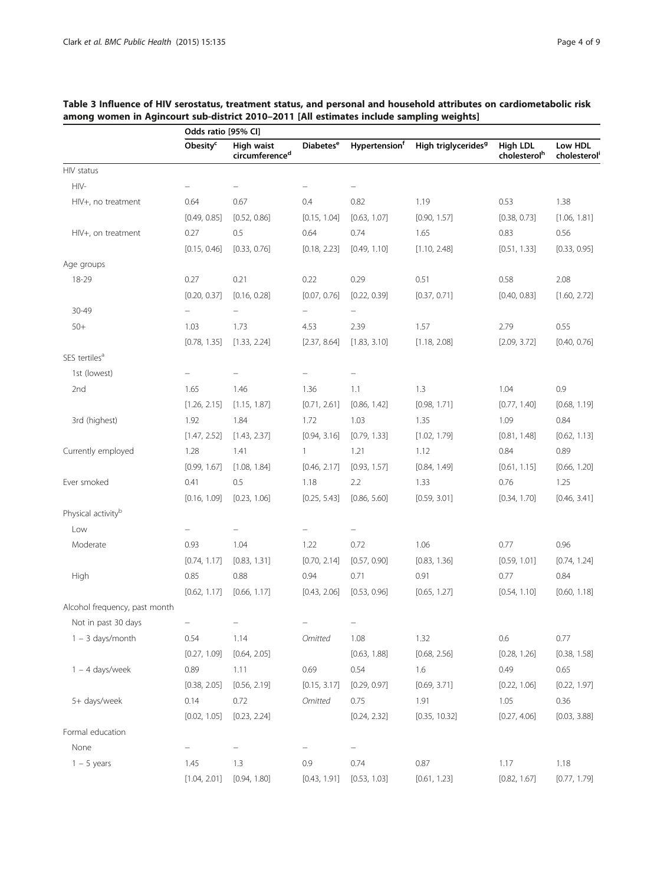|                                | Odds ratio [95% CI]  |                                                 |                             |                           |                                 |                                      |                        |
|--------------------------------|----------------------|-------------------------------------------------|-----------------------------|---------------------------|---------------------------------|--------------------------------------|------------------------|
|                                | Obesity <sup>c</sup> | <b>High waist</b><br>circumference <sup>d</sup> | <b>Diabetes<sup>e</sup></b> | Hypertension <sup>f</sup> | High triglycerides <sup>9</sup> | High LDL<br>cholesterol <sup>h</sup> | Low HDL<br>cholesterol |
| HIV status                     |                      |                                                 |                             |                           |                                 |                                      |                        |
| HIV-                           |                      |                                                 |                             |                           |                                 |                                      |                        |
| HIV+, no treatment             | 0.64                 | 0.67                                            | 0.4                         | 0.82                      | 1.19                            | 0.53                                 | 1.38                   |
|                                | [0.49, 0.85]         | [0.52, 0.86]                                    | [0.15, 1.04]                | [0.63, 1.07]              | [0.90, 1.57]                    | [0.38, 0.73]                         | [1.06, 1.81]           |
| HIV+, on treatment             | 0.27                 | 0.5                                             | 0.64                        | 0.74                      | 1.65                            | 0.83                                 | 0.56                   |
|                                | [0.15, 0.46]         | [0.33, 0.76]                                    | [0.18, 2.23]                | [0.49, 1.10]              | [1.10, 2.48]                    | [0.51, 1.33]                         | [0.33, 0.95]           |
| Age groups                     |                      |                                                 |                             |                           |                                 |                                      |                        |
| 18-29                          | 0.27                 | 0.21                                            | 0.22                        | 0.29                      | 0.51                            | 0.58                                 | 2.08                   |
|                                | [0.20, 0.37]         | [0.16, 0.28]                                    | [0.07, 0.76]                | [0.22, 0.39]              | [0.37, 0.71]                    | [0.40, 0.83]                         | [1.60, 2.72]           |
| 30-49                          |                      |                                                 |                             |                           |                                 |                                      |                        |
| $50+$                          | 1.03                 | 1.73                                            | 4.53                        | 2.39                      | 1.57                            | 2.79                                 | 0.55                   |
|                                | [0.78, 1.35]         | [1.33, 2.24]                                    | [2.37, 8.64]                | [1.83, 3.10]              | [1.18, 2.08]                    | [2.09, 3.72]                         | [0.40, 0.76]           |
| SES tertiles <sup>a</sup>      |                      |                                                 |                             |                           |                                 |                                      |                        |
| 1st (lowest)                   |                      |                                                 |                             |                           |                                 |                                      |                        |
| 2nd                            | 1.65                 | 1.46                                            | 1.36                        | 1.1                       | 1.3                             | 1.04                                 | 0.9                    |
|                                | [1.26, 2.15]         | [1.15, 1.87]                                    | [0.71, 2.61]                | [0.86, 1.42]              | [0.98, 1.71]                    | [0.77, 1.40]                         | [0.68, 1.19]           |
| 3rd (highest)                  | 1.92                 | 1.84                                            | 1.72                        | 1.03                      | 1.35                            | 1.09                                 | 0.84                   |
|                                | [1.47, 2.52]         | [1.43, 2.37]                                    | [0.94, 3.16]                | [0.79, 1.33]              | [1.02, 1.79]                    | [0.81, 1.48]                         | [0.62, 1.13]           |
| Currently employed             | 1.28                 | 1.41                                            | 1                           | 1.21                      | 1.12                            | 0.84                                 | 0.89                   |
|                                | [0.99, 1.67]         | [1.08, 1.84]                                    | [0.46, 2.17]                | [0.93, 1.57]              | [0.84, 1.49]                    | [0.61, 1.15]                         | [0.66, 1.20]           |
| Ever smoked                    | 0.41                 | 0.5                                             | 1.18                        | 2.2                       | 1.33                            | 0.76                                 | 1.25                   |
|                                | [0.16, 1.09]         | [0.23, 1.06]                                    | [0.25, 5.43]                | [0.86, 5.60]              | [0.59, 3.01]                    | [0.34, 1.70]                         | [0.46, 3.41]           |
| Physical activity <sup>b</sup> |                      |                                                 |                             |                           |                                 |                                      |                        |
| Low                            |                      |                                                 |                             |                           |                                 |                                      |                        |
| Moderate                       | 0.93                 | 1.04                                            | 1.22                        | 0.72                      | 1.06                            | 0.77                                 | 0.96                   |
|                                | [0.74, 1.17]         | [0.83, 1.31]                                    | [0.70, 2.14]                | [0.57, 0.90]              | [0.83, 1.36]                    | [0.59, 1.01]                         | [0.74, 1.24]           |
| High                           | 0.85                 | 0.88                                            | 0.94                        | 0.71                      | 0.91                            | 0.77                                 | 0.84                   |
|                                | [0.62, 1.17]         | [0.66, 1.17]                                    | [0.43, 2.06]                | [0.53, 0.96]              | [0.65, 1.27]                    | [0.54, 1.10]                         | [0.60, 1.18]           |
| Alcohol frequency, past month  |                      |                                                 |                             |                           |                                 |                                      |                        |
| Not in past 30 days            |                      |                                                 |                             |                           |                                 |                                      |                        |
| $1 - 3$ days/month             | 0.54                 | 1.14                                            | Omitted                     | 1.08                      | 1.32                            | 0.6                                  | 0.77                   |
|                                | [0.27, 1.09]         | [0.64, 2.05]                                    |                             | [0.63, 1.88]              | [0.68, 2.56]                    | [0.28, 1.26]                         | [0.38, 1.58]           |
| $1 - 4$ days/week              | 0.89                 | 1.11                                            | 0.69                        | 0.54                      | $1.6\,$                         | 0.49                                 | 0.65                   |
|                                | [0.38, 2.05]         | [0.56, 2.19]                                    | [0.15, 3.17]                | [0.29, 0.97]              | [0.69, 3.71]                    | [0.22, 1.06]                         | [0.22, 1.97]           |
| 5+ days/week                   | 0.14                 | 0.72                                            | Omitted                     | 0.75                      | 1.91                            | 1.05                                 | 0.36                   |
|                                | [0.02, 1.05]         | [0.23, 2.24]                                    |                             | [0.24, 2.32]              | [0.35, 10.32]                   | [0.27, 4.06]                         | [0.03, 3.88]           |
| Formal education               |                      |                                                 |                             |                           |                                 |                                      |                        |
| None                           |                      |                                                 |                             | $\qquad \qquad -$         |                                 |                                      |                        |
| $1 - 5$ years                  | 1.45                 | 1.3                                             | 0.9                         | 0.74                      | 0.87                            | 1.17                                 | 1.18                   |
|                                | [1.04, 2.01]         | [0.94, 1.80]                                    | [0.43, 1.91]                | [0.53, 1.03]              | [0.61, 1.23]                    | [0.82, 1.67]                         | [0.77, 1.79]           |
|                                |                      |                                                 |                             |                           |                                 |                                      |                        |

# <span id="page-3-0"></span>Table 3 Influence of HIV serostatus, treatment status, and personal and household attributes on cardiometabolic risk among women in Agincourt sub-district 2010–2011 [All estimates include sampling weights]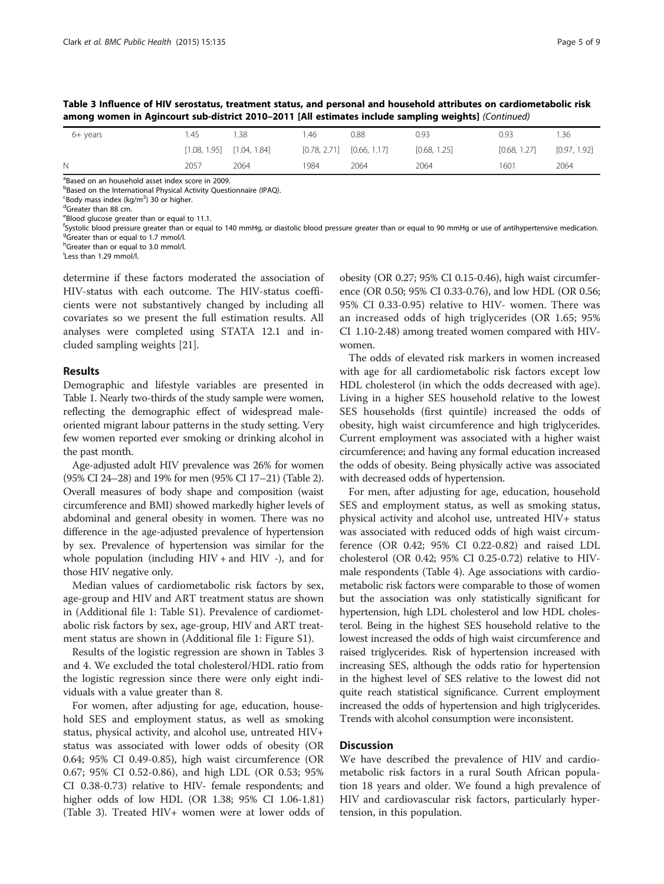Table 3 Influence of HIV serostatus, treatment status, and personal and household attributes on cardiometabolic risk among women in Agincourt sub-district 2010–2011 [All estimates include sampling weights] (Continued)

| $6+$ years | .45          | .38          | .46          | 0.88         | 0.93         | 0.93         | .36          |
|------------|--------------|--------------|--------------|--------------|--------------|--------------|--------------|
|            | [1.08, 1.95] | [1.04, 1.84] | [0.78, 2.71] | [0.66, 1.17] | [0.68, 1.25] | [0.68, 1.27] | [0.97, 1.92] |
| N.         | 2057         | 2064         | 1984         | 2064         | 2064         | 1601         | 2064         |

<sup>a</sup>Based on an household asset index score in 2009. **Based on the International Physical Activity Questionnaire (IPAQ).** 

 $\frac{1}{2}$ Body mass index (kg/m<sup>2</sup>) 30 or higher.

<sup>d</sup>Greater than 88 cm.

eBlood glucose greater than or equal to 11.1.

fsystolic blood pressure greater than or equal to 140 mmHg, or diastolic blood pressure greater than or equal to 90 mmHg or use of antihypertensive medication.<br><sup>g</sup>creater than or equal to 1.7 mmol/l <sup>9</sup>Greater than or equal to 1.7 mmol/l.

<sup>h</sup>Greater than or equal to 3.0 mmol/l.

i Less than 1.29 mmol/l.

determine if these factors moderated the association of HIV-status with each outcome. The HIV-status coefficients were not substantively changed by including all covariates so we present the full estimation results. All analyses were completed using STATA 12.1 and included sampling weights [[21](#page-7-0)].

#### Results

Demographic and lifestyle variables are presented in Table [1.](#page-1-0) Nearly two-thirds of the study sample were women, reflecting the demographic effect of widespread maleoriented migrant labour patterns in the study setting. Very few women reported ever smoking or drinking alcohol in the past month.

Age-adjusted adult HIV prevalence was 26% for women (95% CI 24–28) and 19% for men (95% CI 17–21) (Table [2](#page-2-0)). Overall measures of body shape and composition (waist circumference and BMI) showed markedly higher levels of abdominal and general obesity in women. There was no difference in the age-adjusted prevalence of hypertension by sex. Prevalence of hypertension was similar for the whole population (including  $HIV +$  and  $HIV -$ ), and for those HIV negative only.

Median values of cardiometabolic risk factors by sex, age-group and HIV and ART treatment status are shown in (Additional file [1](#page-7-0): Table S1). Prevalence of cardiometabolic risk factors by sex, age-group, HIV and ART treatment status are shown in (Additional file [1:](#page-7-0) Figure S1).

Results of the logistic regression are shown in Tables [3](#page-3-0) and [4](#page-5-0). We excluded the total cholesterol/HDL ratio from the logistic regression since there were only eight individuals with a value greater than 8.

For women, after adjusting for age, education, household SES and employment status, as well as smoking status, physical activity, and alcohol use, untreated HIV+ status was associated with lower odds of obesity (OR 0.64; 95% CI 0.49-0.85), high waist circumference (OR 0.67; 95% CI 0.52-0.86), and high LDL (OR 0.53; 95% CI 0.38-0.73) relative to HIV- female respondents; and higher odds of low HDL (OR 1.38; 95% CI 1.06-1.81) (Table [3\)](#page-3-0). Treated HIV+ women were at lower odds of obesity (OR 0.27; 95% CI 0.15-0.46), high waist circumference (OR 0.50; 95% CI 0.33-0.76), and low HDL (OR 0.56; 95% CI 0.33-0.95) relative to HIV- women. There was an increased odds of high triglycerides (OR 1.65; 95% CI 1.10-2.48) among treated women compared with HIVwomen.

The odds of elevated risk markers in women increased with age for all cardiometabolic risk factors except low HDL cholesterol (in which the odds decreased with age). Living in a higher SES household relative to the lowest SES households (first quintile) increased the odds of obesity, high waist circumference and high triglycerides. Current employment was associated with a higher waist circumference; and having any formal education increased the odds of obesity. Being physically active was associated with decreased odds of hypertension.

For men, after adjusting for age, education, household SES and employment status, as well as smoking status, physical activity and alcohol use, untreated HIV+ status was associated with reduced odds of high waist circumference (OR 0.42; 95% CI 0.22-0.82) and raised LDL cholesterol (OR 0.42; 95% CI 0.25-0.72) relative to HIVmale respondents (Table [4\)](#page-5-0). Age associations with cardiometabolic risk factors were comparable to those of women but the association was only statistically significant for hypertension, high LDL cholesterol and low HDL cholesterol. Being in the highest SES household relative to the lowest increased the odds of high waist circumference and raised triglycerides. Risk of hypertension increased with increasing SES, although the odds ratio for hypertension in the highest level of SES relative to the lowest did not quite reach statistical significance. Current employment increased the odds of hypertension and high triglycerides. Trends with alcohol consumption were inconsistent.

#### **Discussion**

We have described the prevalence of HIV and cardiometabolic risk factors in a rural South African population 18 years and older. We found a high prevalence of HIV and cardiovascular risk factors, particularly hypertension, in this population.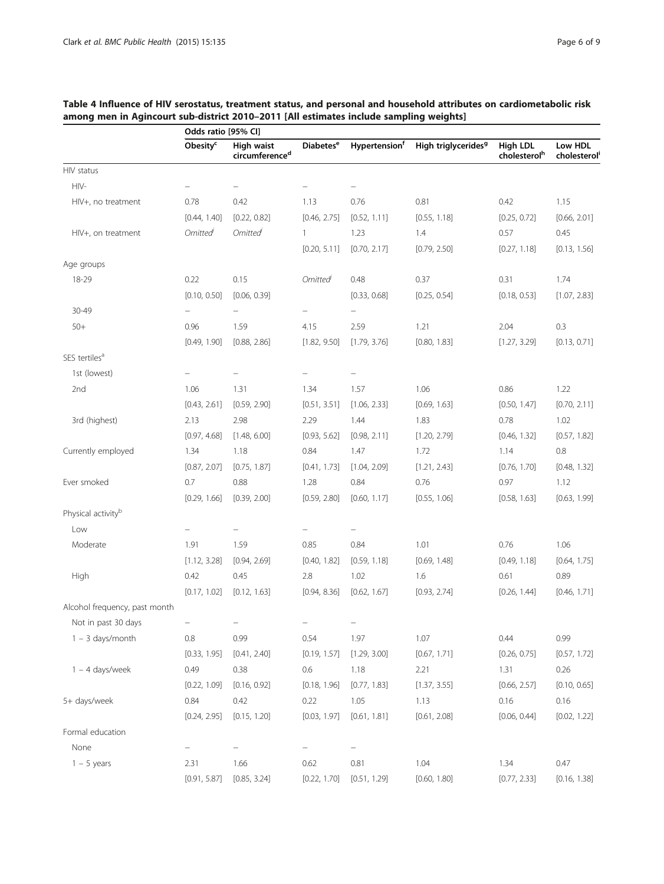|                                | Odds ratio [95% CI]  |                                          |                             |                                  |                                 |                                      |                        |
|--------------------------------|----------------------|------------------------------------------|-----------------------------|----------------------------------|---------------------------------|--------------------------------------|------------------------|
|                                | Obesity <sup>c</sup> | High waist<br>circumference <sup>d</sup> | <b>Diabetes<sup>e</sup></b> | <b>Hypertension</b> <sup>f</sup> | High triglycerides <sup>9</sup> | High LDL<br>cholesterol <sup>h</sup> | Low HDL<br>cholesterol |
| HIV status                     |                      |                                          |                             |                                  |                                 |                                      |                        |
| HIV-                           |                      |                                          |                             |                                  |                                 |                                      |                        |
| HIV+, no treatment             | 0.78                 | 0.42                                     | 1.13                        | 0.76                             | 0.81                            | 0.42                                 | 1.15                   |
|                                | [0.44, 1.40]         | [0.22, 0.82]                             | [0.46, 2.75]                | [0.52, 1.11]                     | [0.55, 1.18]                    | [0.25, 0.72]                         | [0.66, 2.01]           |
| HIV+, on treatment             | Omitted              | <b>Omitted</b>                           | 1                           | 1.23                             | 1.4                             | 0.57                                 | 0.45                   |
|                                |                      |                                          | [0.20, 5.11]                | [0.70, 2.17]                     | [0.79, 2.50]                    | [0.27, 1.18]                         | [0.13, 1.56]           |
| Age groups                     |                      |                                          |                             |                                  |                                 |                                      |                        |
| 18-29                          | 0.22                 | 0.15                                     | <b>Omitted</b>              | 0.48                             | 0.37                            | 0.31                                 | 1.74                   |
|                                | [0.10, 0.50]         | [0.06, 0.39]                             |                             | [0.33, 0.68]                     | [0.25, 0.54]                    | [0.18, 0.53]                         | [1.07, 2.83]           |
| 30-49                          |                      |                                          |                             |                                  |                                 |                                      |                        |
| $50+$                          | 0.96                 | 1.59                                     | 4.15                        | 2.59                             | 1.21                            | 2.04                                 | 0.3                    |
|                                | [0.49, 1.90]         | [0.88, 2.86]                             | [1.82, 9.50]                | [1.79, 3.76]                     | [0.80, 1.83]                    | [1.27, 3.29]                         | [0.13, 0.71]           |
| SES tertiles <sup>a</sup>      |                      |                                          |                             |                                  |                                 |                                      |                        |
| 1st (lowest)                   |                      |                                          |                             |                                  |                                 |                                      |                        |
| 2nd                            | 1.06                 | 1.31                                     | 1.34                        | 1.57                             | 1.06                            | 0.86                                 | 1.22                   |
|                                | [0.43, 2.61]         | [0.59, 2.90]                             | [0.51, 3.51]                | [1.06, 2.33]                     | [0.69, 1.63]                    | [0.50, 1.47]                         | [0.70, 2.11]           |
| 3rd (highest)                  | 2.13                 | 2.98                                     | 2.29                        | 1.44                             | 1.83                            | 0.78                                 | 1.02                   |
|                                | [0.97, 4.68]         | [1.48, 6.00]                             | [0.93, 5.62]                | [0.98, 2.11]                     | [1.20, 2.79]                    | [0.46, 1.32]                         | [0.57, 1.82]           |
| Currently employed             | 1.34                 | 1.18                                     | 0.84                        | 1.47                             | 1.72                            | 1.14                                 | 0.8                    |
|                                | [0.87, 2.07]         | [0.75, 1.87]                             | [0.41, 1.73]                | [1.04, 2.09]                     | [1.21, 2.43]                    | [0.76, 1.70]                         | [0.48, 1.32]           |
| Ever smoked                    | 0.7                  | 0.88                                     | 1.28                        | 0.84                             | 0.76                            | 0.97                                 | 1.12                   |
|                                | [0.29, 1.66]         | [0.39, 2.00]                             | [0.59, 2.80]                | [0.60, 1.17]                     | [0.55, 1.06]                    | [0.58, 1.63]                         | [0.63, 1.99]           |
| Physical activity <sup>b</sup> |                      |                                          |                             |                                  |                                 |                                      |                        |
| Low                            |                      |                                          |                             |                                  |                                 |                                      |                        |
| Moderate                       | 1.91                 | 1.59                                     | 0.85                        | 0.84                             | 1.01                            | 0.76                                 | 1.06                   |
|                                | [1.12, 3.28]         | [0.94, 2.69]                             | [0.40, 1.82]                | [0.59, 1.18]                     | [0.69, 1.48]                    | [0.49, 1.18]                         | [0.64, 1.75]           |
| High                           | 0.42                 | 0.45                                     | 2.8                         | 1.02                             | 1.6                             | 0.61                                 | 0.89                   |
|                                | [0.17, 1.02]         | [0.12, 1.63]                             | [0.94, 8.36]                | [0.62, 1.67]                     | [0.93, 2.74]                    | [0.26, 1.44]                         | [0.46, 1.71]           |
| Alcohol frequency, past month  |                      |                                          |                             |                                  |                                 |                                      |                        |
| Not in past 30 days            |                      |                                          |                             |                                  |                                 |                                      |                        |
| $1 - 3$ days/month             | 0.8                  | 0.99                                     | 0.54                        | 1.97                             | 1.07                            | 0.44                                 | 0.99                   |
|                                | [0.33, 1.95]         | [0.41, 2.40]                             | [0.19, 1.57]                | [1.29, 3.00]                     | [0.67, 1.71]                    | [0.26, 0.75]                         | [0.57, 1.72]           |
| $1 - 4$ days/week              | 0.49                 | 0.38                                     | 0.6                         | 1.18                             | 2.21                            | 1.31                                 | 0.26                   |
|                                | [0.22, 1.09]         | [0.16, 0.92]                             | [0.18, 1.96]                | [0.77, 1.83]                     | [1.37, 3.55]                    | [0.66, 2.57]                         | [0.10, 0.65]           |
| 5+ days/week                   | 0.84                 | 0.42                                     | 0.22                        | 1.05                             | 1.13                            | 0.16                                 | 0.16                   |
|                                | [0.24, 2.95]         | [0.15, 1.20]                             | [0.03, 1.97]                | [0.61, 1.81]                     | [0.61, 2.08]                    | [0.06, 0.44]                         | [0.02, 1.22]           |
| Formal education               |                      |                                          |                             |                                  |                                 |                                      |                        |
| None                           |                      |                                          |                             | $\equiv$                         |                                 |                                      |                        |
| $1 - 5$ years                  | 2.31                 | 1.66                                     | 0.62                        | 0.81                             | 1.04                            | 1.34                                 | 0.47                   |
|                                | [0.91, 5.87]         | [0.85, 3.24]                             | [0.22, 1.70]                | [0.51, 1.29]                     | [0.60, 1.80]                    | [0.77, 2.33]                         | [0.16, 1.38]           |

# <span id="page-5-0"></span>Table 4 Influence of HIV serostatus, treatment status, and personal and household attributes on cardiometabolic risk among men in Agincourt sub-district 2010–2011 [All estimates include sampling weights]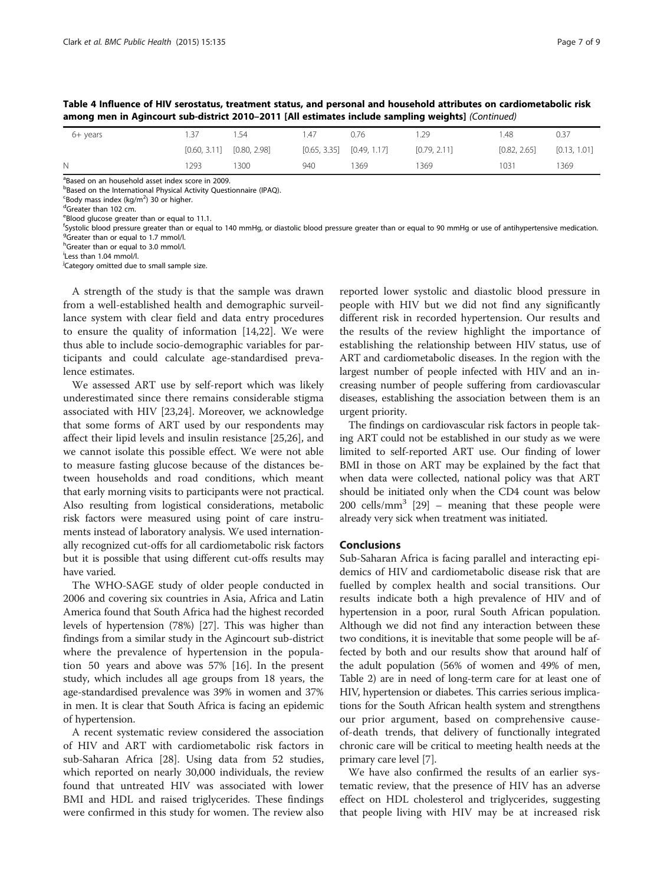6+ years 1.37 1.54 1.47 0.76 1.29 1.48 0.37  $[0.60, 3.11]$   $[0.80, 2.98]$   $[0.65, 3.35]$   $[0.49, 1.17]$   $[0.79, 2.11]$   $[0.82, 2.65]$   $[0.13, 1.01]$ 

N 1293 1300 940 1369 1369 1031 1369

|                                                                                                    | Table 4 Influence of HIV serostatus, treatment status, and personal and household attributes on cardiometabolic risk |
|----------------------------------------------------------------------------------------------------|----------------------------------------------------------------------------------------------------------------------|
| among men in Agincourt sub-district 2010-2011 [All estimates include sampling weights] (Continued) |                                                                                                                      |

<sup>a</sup>Based on an household asset index score in 2009.

**Based on the International Physical Activity Questionnaire (IPAQ).** 

 $\frac{1}{2}$ Body mass index (kg/m<sup>2</sup>) 30 or higher.

<sup>d</sup>Greater than 102 cm.

eBlood glucose greater than or equal to 11.1.

fsystolic blood pressure greater than or equal to 140 mmHg, or diastolic blood pressure greater than or equal to 90 mmHg or use of antihypertensive medication.<br><sup>g</sup>creater than or equal to 1.7 mmol/l <sup>9</sup>Greater than or equal to 1.7 mmol/l.

<sup>h</sup>Greater than or equal to 3.0 mmol/l.

i Less than 1.04 mmol/l.

<sup>j</sup>Category omitted due to small sample size.

A strength of the study is that the sample was drawn from a well-established health and demographic surveillance system with clear field and data entry procedures to ensure the quality of information [\[14,22](#page-7-0)]. We were thus able to include socio-demographic variables for participants and could calculate age-standardised prevalence estimates.

We assessed ART use by self-report which was likely underestimated since there remains considerable stigma associated with HIV [[23](#page-7-0),[24](#page-7-0)]. Moreover, we acknowledge that some forms of ART used by our respondents may affect their lipid levels and insulin resistance [\[25,26](#page-8-0)], and we cannot isolate this possible effect. We were not able to measure fasting glucose because of the distances between households and road conditions, which meant that early morning visits to participants were not practical. Also resulting from logistical considerations, metabolic risk factors were measured using point of care instruments instead of laboratory analysis. We used internationally recognized cut-offs for all cardiometabolic risk factors but it is possible that using different cut-offs results may have varied.

The WHO-SAGE study of older people conducted in 2006 and covering six countries in Asia, Africa and Latin America found that South Africa had the highest recorded levels of hypertension (78%) [[27](#page-8-0)]. This was higher than findings from a similar study in the Agincourt sub-district where the prevalence of hypertension in the population 50 years and above was 57% [\[16\]](#page-7-0). In the present study, which includes all age groups from 18 years, the age-standardised prevalence was 39% in women and 37% in men. It is clear that South Africa is facing an epidemic of hypertension.

A recent systematic review considered the association of HIV and ART with cardiometabolic risk factors in sub-Saharan Africa [\[28\]](#page-8-0). Using data from 52 studies, which reported on nearly 30,000 individuals, the review found that untreated HIV was associated with lower BMI and HDL and raised triglycerides. These findings were confirmed in this study for women. The review also

reported lower systolic and diastolic blood pressure in people with HIV but we did not find any significantly different risk in recorded hypertension. Our results and the results of the review highlight the importance of establishing the relationship between HIV status, use of ART and cardiometabolic diseases. In the region with the largest number of people infected with HIV and an increasing number of people suffering from cardiovascular diseases, establishing the association between them is an urgent priority.

The findings on cardiovascular risk factors in people taking ART could not be established in our study as we were limited to self-reported ART use. Our finding of lower BMI in those on ART may be explained by the fact that when data were collected, national policy was that ART should be initiated only when the CD4 count was below 200 cells/mm<sup>3</sup> [\[29\]](#page-8-0) – meaning that these people were already very sick when treatment was initiated.

#### Conclusions

Sub-Saharan Africa is facing parallel and interacting epidemics of HIV and cardiometabolic disease risk that are fuelled by complex health and social transitions. Our results indicate both a high prevalence of HIV and of hypertension in a poor, rural South African population. Although we did not find any interaction between these two conditions, it is inevitable that some people will be affected by both and our results show that around half of the adult population (56% of women and 49% of men, Table [2\)](#page-2-0) are in need of long-term care for at least one of HIV, hypertension or diabetes. This carries serious implications for the South African health system and strengthens our prior argument, based on comprehensive causeof-death trends, that delivery of functionally integrated chronic care will be critical to meeting health needs at the primary care level [[7\]](#page-7-0).

We have also confirmed the results of an earlier systematic review, that the presence of HIV has an adverse effect on HDL cholesterol and triglycerides, suggesting that people living with HIV may be at increased risk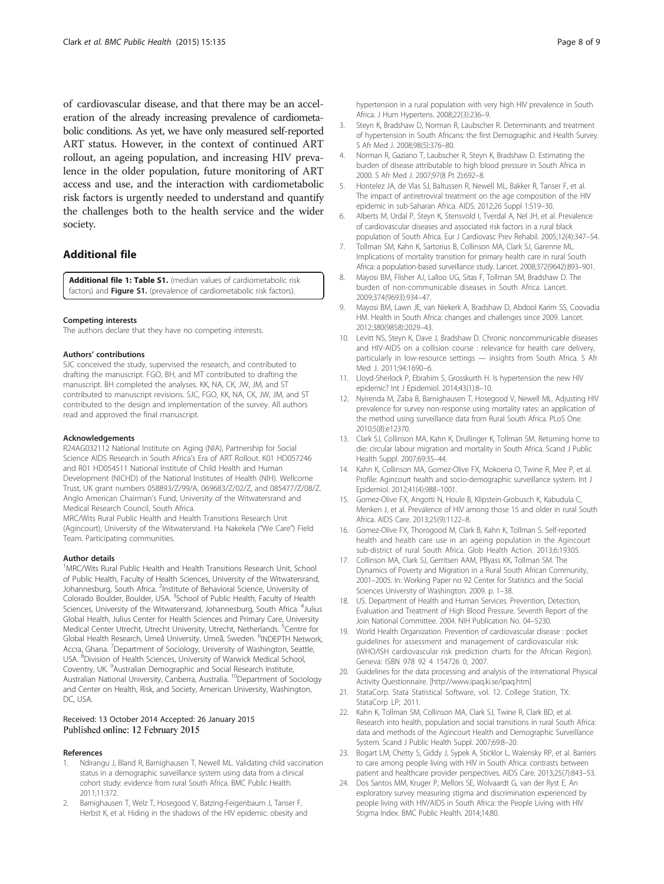<span id="page-7-0"></span>of cardiovascular disease, and that there may be an acceleration of the already increasing prevalence of cardiometabolic conditions. As yet, we have only measured self-reported ART status. However, in the context of continued ART rollout, an ageing population, and increasing HIV prevalence in the older population, future monitoring of ART access and use, and the interaction with cardiometabolic risk factors is urgently needed to understand and quantify the challenges both to the health service and the wider society.

# Additional file

[Additional file 1: Table S1.](http://www.biomedcentral.com/content/supplementary/s12889-015-1467-1-s1.pdf) (median values of cardiometabolic risk factors) and Figure S1. (prevalence of cardiometabolic risk factors).

#### Competing interests

The authors declare that they have no competing interests.

#### Authors' contributions

SJC conceived the study, supervised the research, and contributed to drafting the manuscript. FGO, BH, and MT contributed to drafting the manuscript. BH completed the analyses. KK, NA, CK, JW, JM, and ST contributed to manuscript revisions. SJC, FGO, KK, NA, CK, JW, JM, and ST contributed to the design and implementation of the survey. All authors read and approved the final manuscript.

#### Acknowledgements

R24AG032112 National Institute on Aging (NIA), Partnership for Social Science AIDS Research in South Africa's Era of ART Rollout. K01 HD057246 and R01 HD054511 National Institute of Child Health and Human Development (NICHD) of the National Institutes of Health (NIH). Wellcome Trust, UK grant numbers 058893/Z/99/A, 069683/Z/02/Z, and 085477/Z/08/Z. Anglo American Chairman's Fund, University of the Witwatersrand and Medical Research Council, South Africa.

MRC/Wits Rural Public Health and Health Transitions Research Unit (Agincourt), University of the Witwatersrand. Ha Nakekela ("We Care") Field Team. Participating communities.

#### Author details

<sup>1</sup>MRC/Wits Rural Public Health and Health Transitions Research Unit, School of Public Health, Faculty of Health Sciences, University of the Witwatersrand, Johannesburg, South Africa. <sup>2</sup>Institute of Behavioral Science, University of Colorado Boulder, Boulder, USA. <sup>3</sup>School of Public Health, Faculty of Health Sciences, University of the Witwatersrand, Johannesburg, South Africa. <sup>4</sup>Julius Global Health, Julius Center for Health Sciences and Primary Care, University Medical Center Utrecht, Utrecht University, Utrecht, Netherlands. <sup>5</sup>Centre for Global Health Research, Umeå University, Umeå, Sweden. <sup>6</sup>INDEPTH Network, Accra, Ghana. <sup>7</sup>Department of Sociology, University of Washington, Seattle, USA. <sup>8</sup>Division of Health Sciences, University of Warwick Medical School, Coventry, UK. <sup>9</sup>Australian Demographic and Social Research Institute, Australian National University, Canberra, Australia. <sup>10</sup>Department of Sociology and Center on Health, Risk, and Society, American University, Washington, DC, USA.

#### Received: 13 October 2014 Accepted: 26 January 2015 Published online: 12 February 2015

#### References

- 1. Ndirangu J, Bland R, Barnighausen T, Newell ML. Validating child vaccination status in a demographic surveillance system using data from a clinical cohort study: evidence from rural South Africa. BMC Public Health. 2011;11:372.
- 2. Barnighausen T, Welz T, Hosegood V, Batzing-Feigenbaum J, Tanser F, Herbst K, et al. Hiding in the shadows of the HIV epidemic: obesity and

hypertension in a rural population with very high HIV prevalence in South Africa. J Hum Hypertens. 2008;22(3):236–9.

- 3. Steyn K, Bradshaw D, Norman R, Laubscher R. Determinants and treatment of hypertension in South Africans: the first Demographic and Health Survey. S Afr Med J. 2008;98(5):376–80.
- 4. Norman R, Gaziano T, Laubscher R, Steyn K, Bradshaw D. Estimating the burden of disease attributable to high blood pressure in South Africa in 2000. S Afr Med J. 2007;97(8 Pt 2):692–8.
- 5. Hontelez JA, de Vlas SJ, Baltussen R, Newell ML, Bakker R, Tanser F, et al. The impact of antiretroviral treatment on the age composition of the HIV epidemic in sub-Saharan Africa. AIDS. 2012;26 Suppl 1:S19–30.
- 6. Alberts M, Urdal P, Steyn K, Stensvold I, Tverdal A, Nel JH, et al. Prevalence of cardiovascular diseases and associated risk factors in a rural black population of South Africa. Eur J Cardiovasc Prev Rehabil. 2005;12(4):347–54.
- 7. Tollman SM, Kahn K, Sartorius B, Collinson MA, Clark SJ, Garenne ML. Implications of mortality transition for primary health care in rural South Africa: a population-based surveillance study. Lancet. 2008;372(9642):893–901.
- 8. Mayosi BM, Flisher AJ, Lalloo UG, Sitas F, Tollman SM, Bradshaw D. The burden of non-communicable diseases in South Africa. Lancet. 2009;374(9693):934–47.
- 9. Mayosi BM, Lawn JE, van Niekerk A, Bradshaw D, Abdool Karim SS, Coovadia HM. Health in South Africa: changes and challenges since 2009. Lancet. 2012;380(9858):2029–43.
- 10. Levitt NS, Steyn K, Dave J, Bradshaw D. Chronic noncommunicable diseases and HIV-AIDS on a collision course : relevance for health care delivery, particularly in low-resource settings — insights from South Africa. S Afr Med J. 2011;94:1690–6.
- 11. Lloyd-Sherlock P, Ebrahim S, Grosskurth H. Is hypertension the new HIV epidemic? Int J Epidemiol. 2014;43(1):8–10.
- 12. Nyirenda M, Zaba B, Barnighausen T, Hosegood V, Newell ML. Adjusting HIV prevalence for survey non-response using mortality rates: an application of the method using surveillance data from Rural South Africa. PLoS One. 2010;5(8):e12370.
- 13. Clark SJ, Collinson MA, Kahn K, Drullinger K, Tollman SM. Returning home to die: circular labour migration and mortality in South Africa. Scand J Public Health Suppl. 2007;69:35–44.
- 14. Kahn K, Collinson MA, Gomez-Olive FX, Mokoena O, Twine R, Mee P, et al. Profile: Agincourt health and socio-demographic surveillance system. Int J Epidemiol. 2012;41(4):988–1001.
- 15. Gomez-Olive FX, Angotti N, Houle B, Klipstein-Grobusch K, Kabudula C, Menken J, et al. Prevalence of HIV among those 15 and older in rural South Africa. AIDS Care. 2013;25(9):1122–8.
- 16. Gomez-Olive FX, Thorogood M, Clark B, Kahn K, Tollman S. Self-reported health and health care use in an ageing population in the Agincourt sub-district of rural South Africa. Glob Health Action. 2013;6:19305.
- 17. Collinson MA, Clark SJ, Gerritsen AAM, PByass KK, Tollman SM. The Dynamics of Poverty and Migration in a Rural South African Community, 2001–2005. In: Working Paper no 92 Center for Statistics and the Social Sciences University of Washington. 2009. p. 1–38.
- 18. US. Department of Health and Human Services. Prevention, Detection, Evaluation and Treatment of High Blood Pressure. Seventh Report of the Join National Committee. 2004. NIH Publication No. 04–5230.
- 19. World Health Organization. Prevention of cardiovascular disease : pocket guidelines for assessment and management of cardiovascular risk: (WHO/ISH cardiovascular risk prediction charts for the African Region). Geneva: ISBN 978 92 4 154726 0; 2007.
- 20. Guidelines for the data processing and analysis of the International Physical Activity Questionnaire. [\[http://www.ipaq.ki.se/ipaq.htm\]](http://www.ipaq.ki.se/ipaq.htm)
- 21. StataCorp. Stata Statistical Software, vol. 12. College Station, TX: StataCorp LP: 2011.
- 22. Kahn K, Tollman SM, Collinson MA, Clark SJ, Twine R, Clark BD, et al. Research into health, population and social transitions in rural South Africa: data and methods of the Agincourt Health and Demographic Surveillance System. Scand J Public Health Suppl. 2007;69:8–20.
- 23. Bogart LM, Chetty S, Giddy J, Sypek A, Sticklor L, Walensky RP, et al. Barriers to care among people living with HIV in South Africa: contrasts between patient and healthcare provider perspectives. AIDS Care. 2013;25(7):843–53.
- 24. Dos Santos MM, Kruger P, Mellors SE, Wolvaardt G, van der Ryst E. An exploratory survey measuring stigma and discrimination experienced by people living with HIV/AIDS in South Africa: the People Living with HIV Stigma Index. BMC Public Health. 2014;14:80.